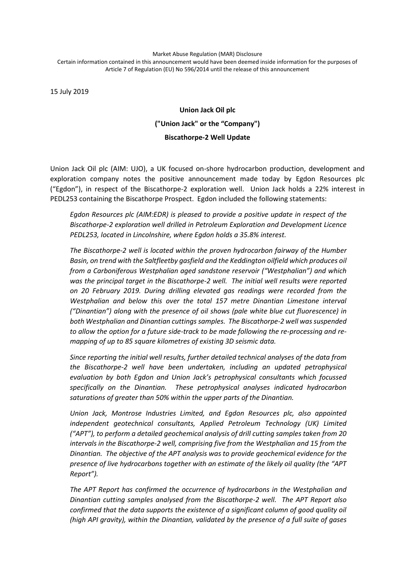Market Abuse Regulation (MAR) Disclosure Certain information contained in this announcement would have been deemed inside information for the purposes of Article 7 of Regulation (EU) No 596/2014 until the release of this announcement

15 July 2019

# **Union Jack Oil plc ("Union Jack" or the "Company") Biscathorpe-2 Well Update**

Union Jack Oil plc (AIM: UJO), a UK focused on-shore hydrocarbon production, development and exploration company notes the positive announcement made today by Egdon Resources plc ("Egdon"), in respect of the Biscathorpe-2 exploration well. Union Jack holds a 22% interest in PEDL253 containing the Biscathorpe Prospect. Egdon included the following statements:

*Egdon Resources plc (AIM:EDR) is pleased to provide a positive update in respect of the Biscathorpe-2 exploration well drilled in Petroleum Exploration and Development Licence PEDL253, located in Lincolnshire, where Egdon holds a 35.8% interest.*

*The Biscathorpe-2 well is located within the proven hydrocarbon fairway of the Humber Basin, on trend with the Saltfleetby gasfield and the Keddington oilfield which produces oil from a Carboniferous Westphalian aged sandstone reservoir ("Westphalian") and which was the principal target in the Biscathorpe-2 well. The initial well results were reported on 20 February 2019. During drilling elevated gas readings were recorded from the Westphalian and below this over the total 157 metre Dinantian Limestone interval ("Dinantian") along with the presence of oil shows (pale white blue cut fluorescence) in both Westphalian and Dinantian cuttings samples. The Biscathorpe-2 well was suspended to allow the option for a future side-track to be made following the re-processing and remapping of up to 85 square kilometres of existing 3D seismic data.*

*Since reporting the initial well results, further detailed technical analyses of the data from the Biscathorpe-2 well have been undertaken, including an updated petrophysical evaluation by both Egdon and Union Jack's petrophysical consultants which focussed specifically on the Dinantian. These petrophysical analyses indicated hydrocarbon saturations of greater than 50% within the upper parts of the Dinantian.*

*Union Jack, Montrose Industries Limited, and Egdon Resources plc, also appointed independent geotechnical consultants, Applied Petroleum Technology (UK) Limited ("APT"), to perform a detailed geochemical analysis of drill cutting samples taken from 20 intervals in the Biscathorpe-2 well, comprising five from the Westphalian and 15 from the Dinantian. The objective of the APT analysis was to provide geochemical evidence for the presence of live hydrocarbons together with an estimate of the likely oil quality (the "APT Report").*

*The APT Report has confirmed the occurrence of hydrocarbons in the Westphalian and Dinantian cutting samples analysed from the Biscathorpe-2 well. The APT Report also confirmed that the data supports the existence of a significant column of good quality oil (high API gravity), within the Dinantian, validated by the presence of a full suite of gases*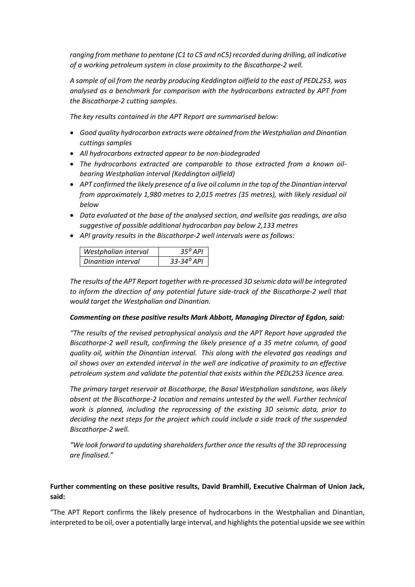*ranging from methane to pentane (C1 to C5 and nC5) recorded during drilling, all indicative of a working petroleum system in close proximity to the Biscathorpe-2 well.*

*A sample of oil from the nearby producing Keddington oilfield to the east of PEDL253, was analysed as a benchmark for comparison with the hydrocarbons extracted by APT from the Biscathorpe-2 cutting samples.*

*The key results contained in the APT Report are summarised below:*

- *Good quality hydrocarbon extracts were obtained from the Westphalian and Dinantian cuttings samples*
- *All hydrocarbons extracted appear to be non-biodegraded*
- *The hydrocarbons extracted are comparable to those extracted from a known oilbearing Westphalian interval (Keddington oilfield)*
- *APT confirmed the likely presence of a live oil column in the top of the Dinantian interval from approximately 1,980 metres to 2,015 metres (35 metres), with likely residual oil below*
- *Data evaluated at the base of the analysed section, and wellsite gas readings, are also suggestive of possible additional hydrocarbon pay below 2,133 metres*
- *API gravity results in the Biscathorpe-2 well intervals were as follows:*

| Westphalian interval | $35^{\circ}$ API      |
|----------------------|-----------------------|
| Dinantian interval   | $33 - 34^{\circ}$ API |

*The results of the APT Report together with re-processed 3D seismic data will be integrated to inform the direction of any potential future side-track of the Biscathorpe-2 well that would target the Westphalian and Dinantian.*

## *Commenting on these positive results Mark Abbott, Managing Director of Egdon, said:*

*"The results of the revised petrophysical analysis and the APT Report have upgraded the Biscathorpe-2 well result, confirming the likely presence of a 35 metre column, of good quality oil, within the Dinantian interval. This along with the elevated gas readings and oil shows over an extended interval in the well are indicative of proximity to an effective petroleum system and validate the potential that exists within the PEDL253 licence area.*

*The primary target reservoir at Biscathorpe, the Basal Westphalian sandstone, was likely absent at the Biscathorpe-2 location and remains untested by the well. Further technical work is planned, including the reprocessing of the existing 3D seismic data, prior to deciding the next steps for the project which could include a side track of the suspended Biscathorpe-2 well.* 

*"We look forward to updating shareholders further once the results of the 3D reprocessing are finalised."*

## **Further commenting on these positive results, David Bramhill, Executive Chairman of Union Jack, said:**

"The APT Report confirms the likely presence of hydrocarbons in the Westphalian and Dinantian, interpreted to be oil, over a potentially large interval, and highlights the potential upside we see within